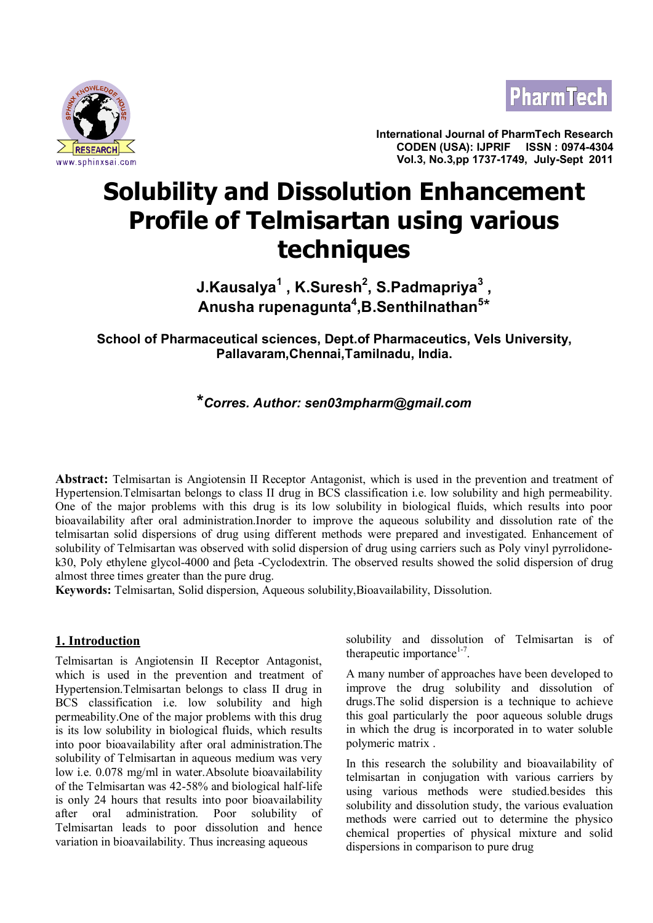



**International Journal of PharmTech Research CODEN (USA): IJPRIF ISSN : 0974-4304 Vol.3, No.3,pp 1737-1749, July-Sept 2011**

# **Solubility and Dissolution Enhancement Profile of Telmisartan using various techniques**

**J.Kausalya<sup>1</sup> , K.Suresh<sup>2</sup> , S.Padmapriya<sup>3</sup> , Anusha rupenagunta<sup>4</sup> ,B.Senthilnathan<sup>5</sup>** \*

**School of Pharmaceutical sciences, Dept.of Pharmaceutics, Vels University, Pallavaram,Chennai,Tamilnadu, India.**

# **\****Corres. Author: sen03mpharm@gmail.com*

**Abstract:** Telmisartan is Angiotensin II Receptor Antagonist, which is used in the prevention and treatment of Hypertension.Telmisartan belongs to class II drug in BCS classification i.e. low solubility and high permeability. One of the major problems with this drug is its low solubility in biological fluids, which results into poor bioavailability after oral administration.Inorder to improve the aqueous solubility and dissolution rate of the telmisartan solid dispersions of drug using different methods were prepared and investigated. Enhancement of solubility of Telmisartan was observed with solid dispersion of drug using carriers such as Poly vinyl pyrrolidonek30, Poly ethylene glycol-4000 and βeta -Cyclodextrin. The observed results showed the solid dispersion of drug almost three times greater than the pure drug.

**Keywords:** Telmisartan, Solid dispersion, Aqueous solubility,Bioavailability, Dissolution.

# **1. Introduction**

Telmisartan is Angiotensin II Receptor Antagonist, which is used in the prevention and treatment of Hypertension.Telmisartan belongs to class II drug in BCS classification i.e. low solubility and high permeability.One of the major problems with this drug is its low solubility in biological fluids, which results into poor bioavailability after oral administration.The solubility of Telmisartan in aqueous medium was very low i.e. 0.078 mg/ml in water.Absolute bioavailability of the Telmisartan was 42-58% and biological half-life is only 24 hours that results into poor bioavailability after oral administration. Poor solubility of Telmisartan leads to poor dissolution and hence variation in bioavailability. Thus increasing aqueous

solubility and dissolution of Telmisartan is of therapeutic importance<sup>1-7</sup>.

A many number of approaches have been developed to improve the drug solubility and dissolution of drugs.The solid dispersion is a technique to achieve this goal particularly the poor aqueous soluble drugs in which the drug is incorporated in to water soluble polymeric matrix .

In this research the solubility and bioavailability of telmisartan in conjugation with various carriers by using various methods were studied.besides this solubility and dissolution study, the various evaluation methods were carried out to determine the physico chemical properties of physical mixture and solid dispersions in comparison to pure drug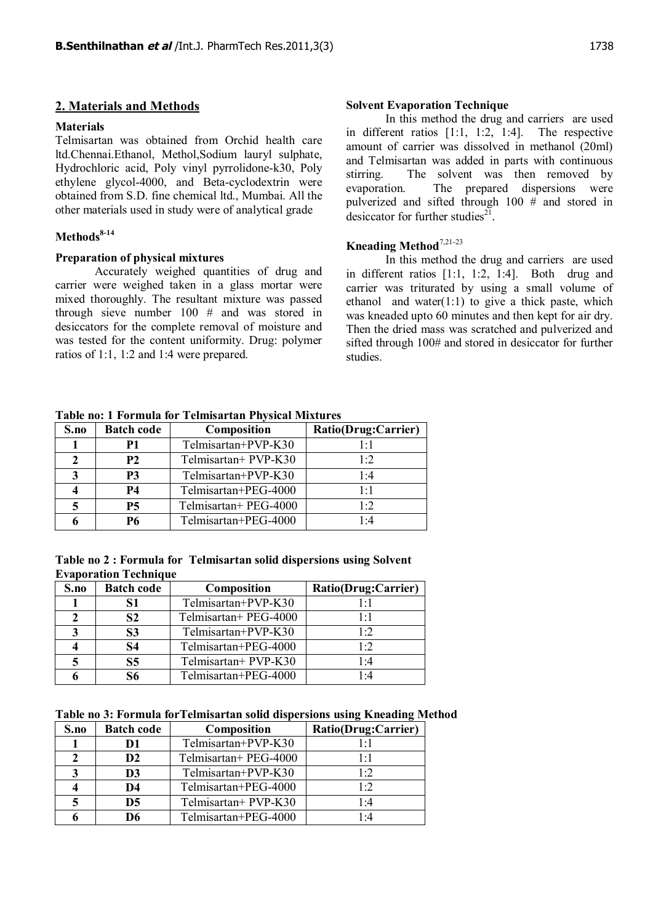#### **2. Materials and Methods**

# **Materials**

Telmisartan was obtained from Orchid health care ltd.Chennai.Ethanol, Methol,Sodium lauryl sulphate, Hydrochloric acid, Poly vinyl pyrrolidone-k30, Poly ethylene glycol-4000, and Beta-cyclodextrin were obtained from S.D. fine chemical ltd., Mumbai. All the other materials used in study were of analytical grade

# **Methods8-14**

#### **Preparation of physical mixtures**

Accurately weighed quantities of drug and carrier were weighed taken in a glass mortar were mixed thoroughly. The resultant mixture was passed through sieve number 100 # and was stored in desiccators for the complete removal of moisture and was tested for the content uniformity. Drug: polymer ratios of 1:1, 1:2 and 1:4 were prepared.

# **Solvent Evaporation Technique**

In this method the drug and carriers are used in different ratios [1:1, 1:2, 1:4]. The respective amount of carrier was dissolved in methanol (20ml) and Telmisartan was added in parts with continuous stirring. The solvent was then removed by evaporation. The prepared dispersions were pulverized and sifted through 100 # and stored in desiccator for further studies $21$ .

# **Kneading Method**7,21-23

In this method the drug and carriers are used in different ratios [1:1, 1:2, 1:4]. Both drug and carrier was triturated by using a small volume of ethanol and water $(1:1)$  to give a thick paste, which was kneaded upto 60 minutes and then kept for air dry. Then the dried mass was scratched and pulverized and sifted through 100# and stored in desiccator for further studies.

|      | Table no. I Portugua for Teminsarian I hysical mixtures |                       |                     |  |  |  |  |
|------|---------------------------------------------------------|-----------------------|---------------------|--|--|--|--|
| S.no | <b>Batch code</b>                                       | Composition           | Ratio(Drug:Carrier) |  |  |  |  |
|      | P1                                                      | Telmisartan+PVP-K30   | $1 \cdot 1$         |  |  |  |  |
|      | <b>P2</b>                                               | Telmisartan+ PVP-K30  | 1.2                 |  |  |  |  |
|      | P <sub>3</sub>                                          | Telmisartan+PVP-K30   | 1.4                 |  |  |  |  |
|      | P4                                                      | Telmisartan+PEG-4000  | $1 \cdot 1$         |  |  |  |  |
|      | <b>P5</b>                                               | Telmisartan+ PEG-4000 | 1.2                 |  |  |  |  |
|      | Р6                                                      | Telmisartan+PEG-4000  | 1.4                 |  |  |  |  |

**Table no: 1 Formula for Telmisartan Physical Mixtures**

**Table no 2 : Formula for Telmisartan solid dispersions using Solvent Evaporation Technique**

| S.no | <b>Batch code</b> | Composition           | Ratio(Drug:Carrier) |  |  |
|------|-------------------|-----------------------|---------------------|--|--|
|      | 81                | Telmisartan+PVP-K30   | $1 \cdot 1$         |  |  |
|      | <b>S2</b>         | Telmisartan+ PEG-4000 | $1 \cdot 1$         |  |  |
|      | S <sub>3</sub>    | Telmisartan+PVP-K30   | 1.2                 |  |  |
|      | S4                | Telmisartan+PEG-4000  | 1.2                 |  |  |
|      | S <sub>5</sub>    | Telmisartan+ PVP-K30  | 1.4                 |  |  |
|      | 86                | Telmisartan+PEG-4000  | $1 - 4$             |  |  |

| S.no | <b>Batch code</b> | Composition           | Ratio(Drug:Carrier) |  |  |
|------|-------------------|-----------------------|---------------------|--|--|
|      | D1                | Telmisartan+PVP-K30   | $1 \cdot 1$         |  |  |
|      | D <sub>2</sub>    | Telmisartan+ PEG-4000 | $1 \cdot 1$         |  |  |
|      | D <sub>3</sub>    | Telmisartan+PVP-K30   | 1.2                 |  |  |
|      | D4                | Telmisartan+PEG-4000  | 1.2                 |  |  |
|      | D <sub>5</sub>    | Telmisartan+ PVP-K30  | 1.4                 |  |  |
|      | D6                | Telmisartan+PEG-4000  | 1.4                 |  |  |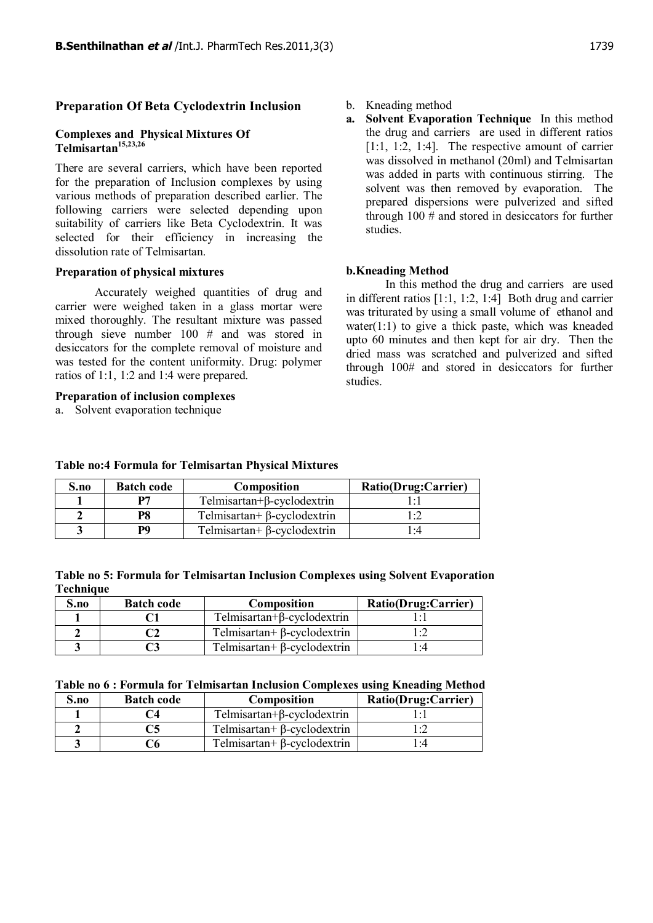### **Preparation Of Beta Cyclodextrin Inclusion**

#### **Complexes and Physical Mixtures Of Telmisartan15,23,26**

There are several carriers, which have been reported for the preparation of Inclusion complexes by using various methods of preparation described earlier. The following carriers were selected depending upon suitability of carriers like Beta Cyclodextrin. It was selected for their efficiency in increasing the dissolution rate of Telmisartan.

#### **Preparation of physical mixtures**

Accurately weighed quantities of drug and carrier were weighed taken in a glass mortar were mixed thoroughly. The resultant mixture was passed through sieve number 100 # and was stored in desiccators for the complete removal of moisture and was tested for the content uniformity. Drug: polymer ratios of 1:1, 1:2 and 1:4 were prepared.

#### **Preparation of inclusion complexes**

a. Solvent evaporation technique

- b. Kneading method
- **a. Solvent Evaporation Technique** In this method the drug and carriers are used in different ratios [1:1, 1:2, 1:4]. The respective amount of carrier was dissolved in methanol (20ml) and Telmisartan was added in parts with continuous stirring. The solvent was then removed by evaporation. The prepared dispersions were pulverized and sifted through 100 # and stored in desiccators for further studies.

# **b.Kneading Method**

In this method the drug and carriers are used in different ratios [1:1, 1:2, 1:4] Both drug and carrier was triturated by using a small volume of ethanol and water $(1:1)$  to give a thick paste, which was kneaded upto 60 minutes and then kept for air dry. Then the dried mass was scratched and pulverized and sifted through 100# and stored in desiccators for further studies.

| Telmisartan+ $\beta$ -cyclodextrin<br>P8 |                                    |  |
|------------------------------------------|------------------------------------|--|
| PQ                                       | Telmisartan+ $\beta$ -cyclodextrin |  |
|                                          |                                    |  |

**S.no Batch code Composition Ratio(Drug:Carrier)** 

**1 P7** Telmisartan+β-cyclodextrin 1:1

**Table no:4 Formula for Telmisartan Physical Mixtures**

| Table no 5: Formula for Telmisartan Inclusion Complexes using Solvent Evaporation |  |  |  |  |
|-----------------------------------------------------------------------------------|--|--|--|--|
| Technique                                                                         |  |  |  |  |

| S.no | <b>Batch code</b> | <b>Composition</b>                 | Ratio(Drug:Carrier) |
|------|-------------------|------------------------------------|---------------------|
|      |                   | Telmisartan+ $\beta$ -cyclodextrin |                     |
|      |                   | Telmisartan+ $\beta$ -cyclodextrin |                     |
|      |                   | Telmisartan+ $\beta$ -cyclodextrin | :4                  |

#### **Table no 6 : Formula for Telmisartan Inclusion Complexes using Kneading Method**

| $S$ .no | <b>Batch code</b>       | Composition                        | Ratio(Drug:Carrier) |
|---------|-------------------------|------------------------------------|---------------------|
|         | $^{\prime}$ $^{\prime}$ | Telmisartan+ $\beta$ -cyclodextrin |                     |
|         | C5                      | Telmisartan+ $\beta$ -cyclodextrin |                     |
|         |                         | Telmisartan+ $\beta$ -cyclodextrin | l 14                |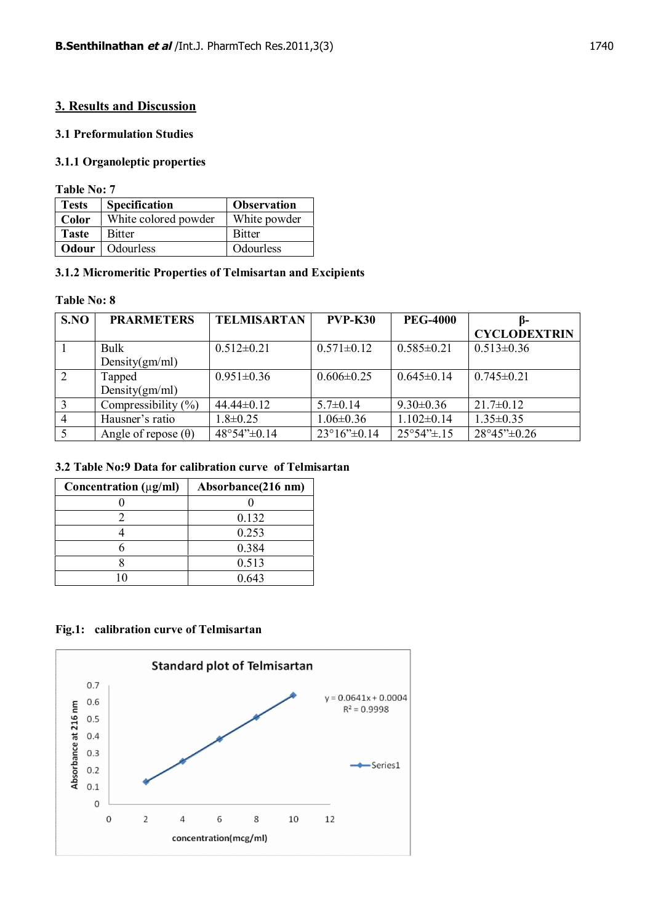# **3. Results and Discussion**

# **3.1 Preformulation Studies**

# **3.1.1 Organoleptic properties**

**Table No: 7**

| <b>Tests</b> | <b>Specification</b>     | <b>Observation</b> |
|--------------|--------------------------|--------------------|
| Color        | White colored powder     | White powder       |
| <b>Taste</b> | <b>Bitter</b>            | <b>Bitter</b>      |
|              | <b>Odour</b>   Odourless | Odourless          |

# **3.1.2 Micromeritic Properties of Telmisartan and Excipients**

# **Table No: 8**

| S.NO           | <b>PRARMETERS</b>          | <b>TELMISARTAN</b> | <b>PVP-K30</b>                         | <b>PEG-4000</b>                      | B-                                     |
|----------------|----------------------------|--------------------|----------------------------------------|--------------------------------------|----------------------------------------|
|                |                            |                    |                                        |                                      | <b>CYCLODEXTRIN</b>                    |
|                | <b>Bulk</b>                | $0.512 \pm 0.21$   | $0.571 \pm 0.12$                       | $0.585 \pm 0.21$                     | $0.513 \pm 0.36$                       |
|                | Density $(gm/ml)$          |                    |                                        |                                      |                                        |
| $\sqrt{2}$     | Tapped                     | $0.951 \pm 0.36$   | $0.606 \pm 0.25$                       | $0.645 \pm 0.14$                     | $0.745 \pm 0.21$                       |
|                | Density(gm/ml)             |                    |                                        |                                      |                                        |
| $\overline{3}$ | Compressibility $(\%)$     | $44.44 \pm 0.12$   | $5.7 \pm 0.14$                         | $9.30\pm0.36$                        | $21.7\pm0.12$                          |
| $\overline{4}$ | Hausner's ratio            | $1.8 \pm 0.25$     | $1.06 \pm 0.36$                        | $1.102 \pm 0.14$                     | $1.35 \pm 0.35$                        |
|                | Angle of repose $(\theta)$ | 48°54"±0.14        | $23^{\circ}16^{\prime\prime} \pm 0.14$ | $25^{\circ}54^{\prime\prime} \pm 15$ | $28^{\circ}45^{\prime\prime} \pm 0.26$ |

# **3.2 Table No:9 Data for calibration curve of Telmisartan**

| Concentration $(\mu g/ml)$ | Absorbance(216 nm) |
|----------------------------|--------------------|
|                            |                    |
|                            | 0.132              |
|                            | 0.253              |
|                            | 0.384              |
|                            | 0.513              |
|                            | 0.643              |

# **Fig.1: calibration curve of Telmisartan**

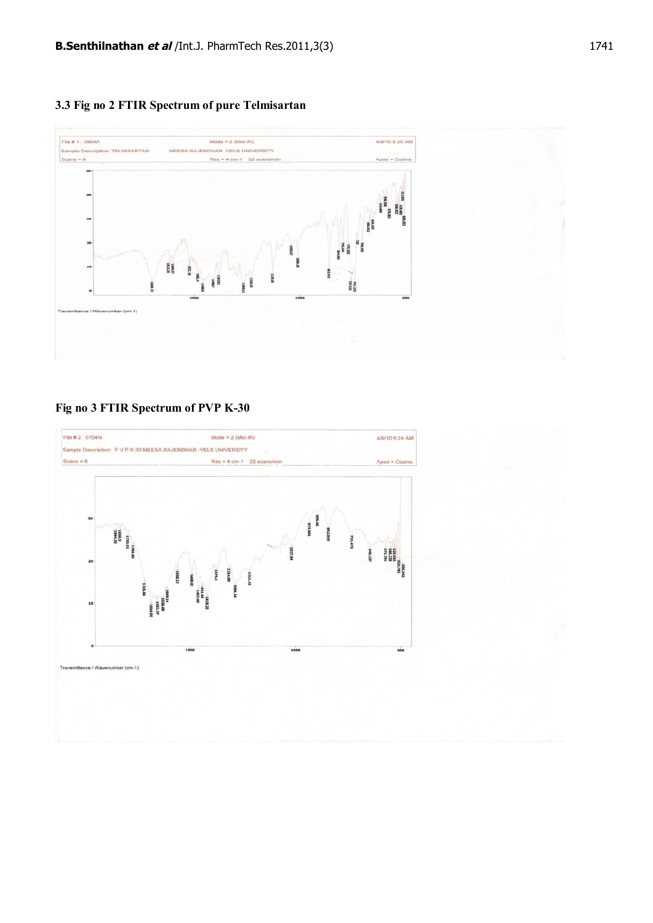**3.3 Fig no 2 FTIR Spectrum of pure Telmisartan**



**Fig no 3 FTIR Spectrum of PVP K-30**

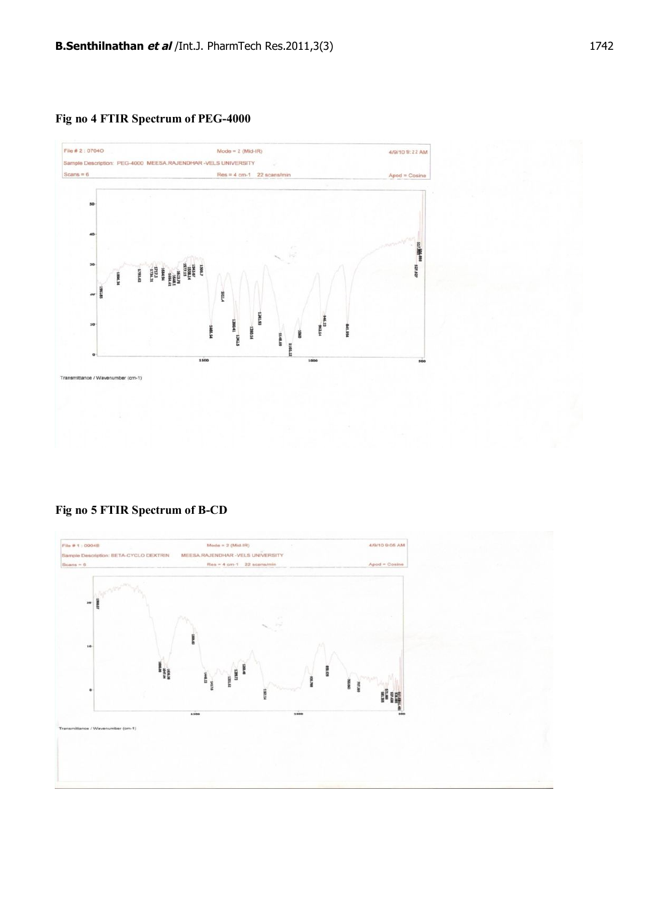**Fig no 4 FTIR Spectrum of PEG-4000**



**Fig no 5 FTIR Spectrum of B-CD**

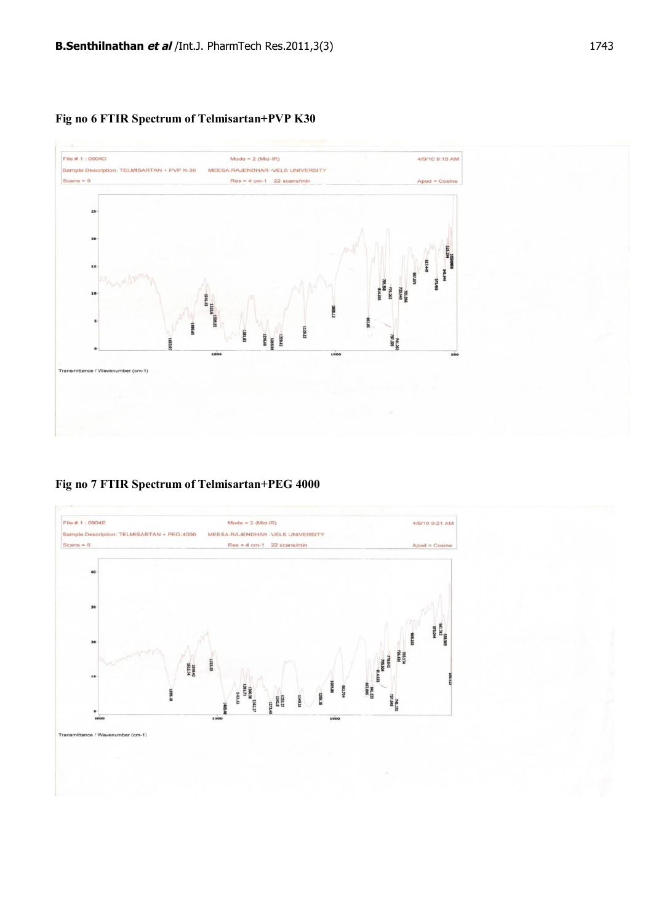

# **Fig no 6 FTIR Spectrum of Telmisartan+PVP K30**

**Fig no 7 FTIR Spectrum of Telmisartan+PEG 4000**

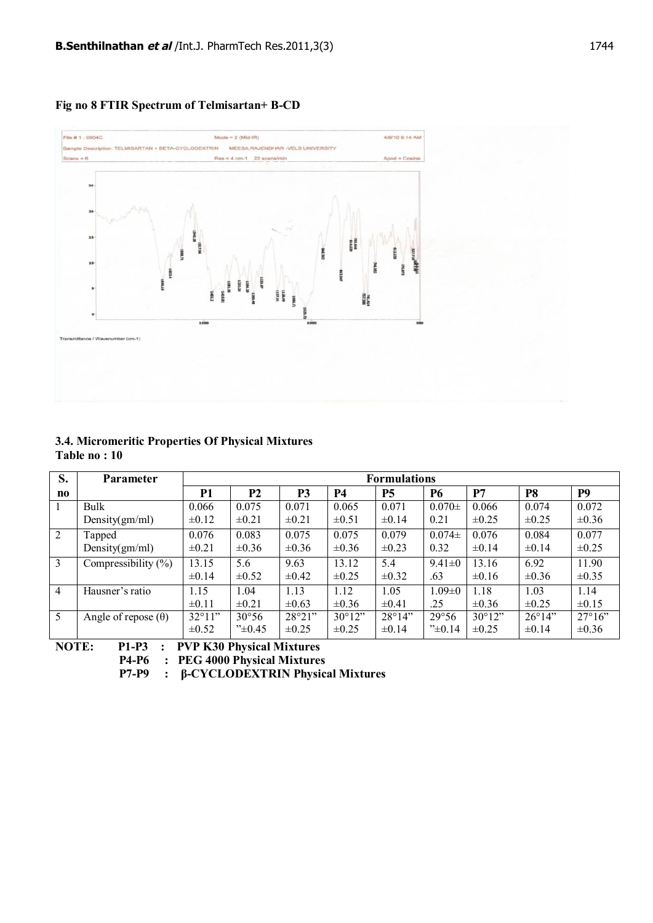



# **3.4. Micromeritic Properties Of Physical Mixtures Table no : 10**

| S.                     | <b>Parameter</b>           | <b>Formulations</b> |                    |                |                 |                 |                |                 |                 |                  |
|------------------------|----------------------------|---------------------|--------------------|----------------|-----------------|-----------------|----------------|-----------------|-----------------|------------------|
| $\mathbf{n}\mathbf{o}$ |                            | P1                  | <b>P2</b>          | P <sub>3</sub> | <b>P4</b>       | <b>P5</b>       | <b>P6</b>      | P7              | P <sub>8</sub>  | P <sub>9</sub>   |
|                        | Bulk                       | 0.066               | 0.075              | 0.071          | 0.065           | 0.071           | $0.070 \pm$    | 0.066           | 0.074           | 0.072            |
|                        | Density $(gm/ml)$          | $\pm 0.12$          | $\pm 0.21$         | $\pm 0.21$     | $\pm 0.51$      | $\pm 0.14$      | 0.21           | $\pm 0.25$      | $\pm 0.25$      | $\pm 0.36$       |
| 2                      | Tapped                     | 0.076               | 0.083              | 0.075          | 0.075           | 0.079           | $0.074\pm$     | 0.076           | 0.084           | 0.077            |
|                        | Density $(gm/ml)$          | $\pm 0.21$          | $\pm 0.36$         | $\pm 0.36$     | $\pm 0.36$      | $\pm 0.23$      | 0.32           | $\pm 0.14$      | $\pm 0.14$      | $\pm 0.25$       |
| 3                      | Compressibility $(\% )$    | 13.15               | 5.6                | 9.63           | 13.12           | 5.4             | $9.41 \pm 0$   | 13.16           | 6.92            | 11.90            |
|                        |                            | $\pm 0.14$          | $\pm 0.52$         | $\pm 0.42$     | $\pm 0.25$      | $\pm 0.32$      | .63            | $\pm 0.16$      | $\pm 0.36$      | $\pm 0.35$       |
| $\overline{4}$         | Hausner's ratio            | 1.15                | 1.04               | 1.13           | 1.12            | 1.05            | $1.09 \pm 0$   | 1.18            | 1.03            | 1.14             |
|                        |                            | $\pm 0.11$          | $\pm 0.21$         | $\pm 0.63$     | $\pm 0.36$      | $\pm 0.41$      | .25            | $\pm 0.36$      | $\pm 0.25$      | $\pm 0.15$       |
| 5                      | Angle of repose $(\theta)$ | $32^{\circ}11$ "    | $30^{\circ}56$     | 28°21"         | $30^{\circ}12"$ | $28^{\circ}14"$ | $29^{\circ}56$ | $30^{\circ}12"$ | $26^{\circ}14"$ | $27^{\circ}16$ " |
|                        |                            | $\pm 0.52$          | $45^{\circ}$ +0.45 | $\pm 0.25$     | $\pm 0.25$      | $\pm 0.14$      | "±0.14"        | $\pm 0.25$      | $\pm 0.14$      | $\pm 0.36$       |

**NOTE: P1-P3 : PVP K30 Physical Mixtures**

 **P4-P6 : PEG 4000 Physical Mixtures**

 **P7-P9 : β-CYCLODEXTRIN Physical Mixtures**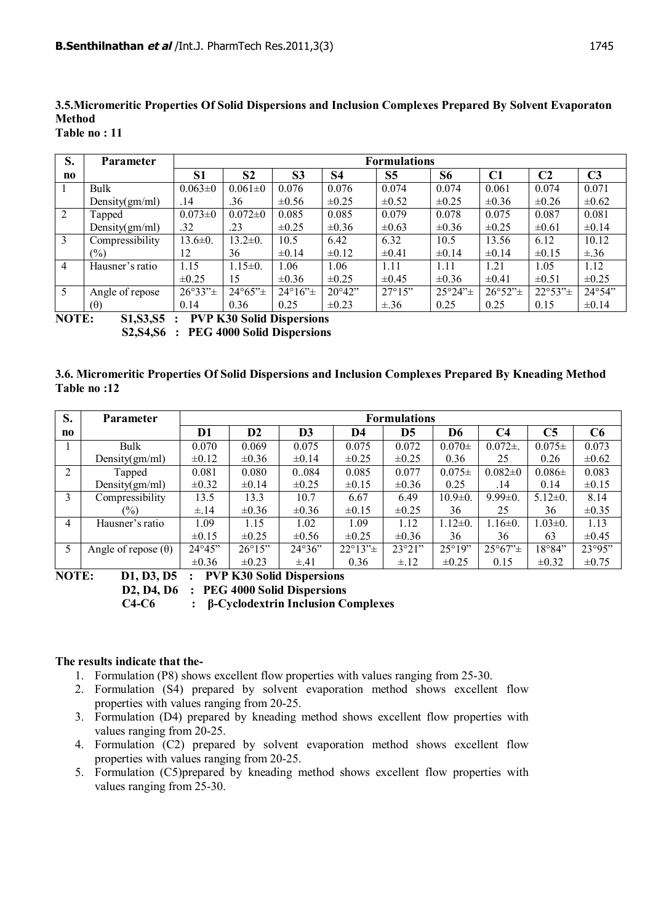**3.5.Micromeritic Properties Of Solid Dispersions and Inclusion Complexes Prepared By Solvent Evaporaton Method**

| S.             | <b>Parameter</b>                       | <b>Formulations</b> |                                 |                          |                 |                 |                                 |                                 |                     |                 |
|----------------|----------------------------------------|---------------------|---------------------------------|--------------------------|-----------------|-----------------|---------------------------------|---------------------------------|---------------------|-----------------|
| no             |                                        | <b>S1</b>           | S <sub>2</sub>                  | S <sub>3</sub>           | <b>S4</b>       | S <sub>5</sub>  | <b>S6</b>                       | C1                              | C <sub>2</sub>      | C <sub>3</sub>  |
|                | Bulk                                   | $0.063 \pm 0$       | $0.061 \pm 0$                   | 0.076                    | 0.076           | 0.074           | 0.074                           | 0.061                           | 0.074               | 0.071           |
|                | Density $(gm/ml)$                      | .14                 | .36                             | $\pm 0.56$               | $\pm 0.25$      | $\pm 0.52$      | $\pm 0.25$                      | $\pm 0.36$                      | $\pm 0.26$          | $\pm 0.62$      |
| $\overline{2}$ | Tapped                                 | $0.073 \pm 0$       | $0.072 \pm 0$                   | 0.085                    | 0.085           | 0.079           | 0.078                           | 0.075                           | 0.087               | 0.081           |
|                | Density $(gm/ml)$                      | .32                 | .23                             | $\pm 0.25$               | $\pm 0.36$      | $\pm 0.63$      | $\pm 0.36$                      | $\pm 0.25$                      | $\pm 0.61$          | $\pm 0.14$      |
| 3              | Compressibility                        | $13.6 \pm 0.$       | $13.2 \pm 0.$                   | 10.5                     | 6.42            | 6.32            | 10.5                            | 13.56                           | 6.12                | 10.12           |
|                | $(\%)$                                 | 12                  | 36                              | $\pm 0.14$               | $\pm 0.12$      | $\pm 0.41$      | $\pm 0.14$                      | $\pm 0.14$                      | $\pm 0.15$          | $\pm .36$       |
| 4              | Hausner's ratio                        | 1.15                | $1.15 \pm 0.$                   | 1.06                     | 1.06            | 1.11            | 1.11                            | 1.21                            | 1.05                | 1.12            |
|                |                                        | $\pm 0.25$          | 15                              | $\pm 0.36$               | $\pm 0.25$      | $\pm 0.45$      | $\pm 0.36$                      | $\pm 0.41$                      | $\pm 0.51$          | $\pm 0.25$      |
| 5              | Angle of repose                        | $26^{\circ}33" \pm$ | $24^{\circ}65^{\prime\prime}$ ± | $24^{\circ}16^{\circ}$ ± | $20^{\circ}42"$ | $27^{\circ}15"$ | $25^{\circ}24^{\prime\prime}$ ± | $26^{\circ}52^{\prime\prime}$ ± | $22^{\circ}53" \pm$ | $24^{\circ}54"$ |
|                | (0)                                    | 0.14                | 0.36                            | 0.25                     | $\pm 0.23$      | $\pm .36$       | 0.25                            | 0.25                            | 0.15                | $\pm 0.14$      |
|                | ------<br>------<br>---- --- - -- - -- |                     |                                 |                          |                 |                 |                                 |                                 |                     |                 |

**NOTE: S1,S3,S5 : PVP K30 Solid Dispersions S2,S4,S6 : PEG 4000 Solid Dispersions**

# **3.6. Micromeritic Properties Of Solid Dispersions and Inclusion Complexes Prepared By Kneading Method Table no :12**

| S.        | <b>Parameter</b>           | <b>Formulations</b> |                 |            |                                 |            |                |                                 |                |                |
|-----------|----------------------------|---------------------|-----------------|------------|---------------------------------|------------|----------------|---------------------------------|----------------|----------------|
| $\bf{no}$ |                            | D1                  | D <sub>2</sub>  | D3         | D4                              | D5         | D6             | C <sub>4</sub>                  | C <sub>5</sub> | C <sub>6</sub> |
|           | Bulk                       | 0.070               | 0.069           | 0.075      | 0.075                           | 0.072      | $0.070 \pm$    | $0.072\pm$ .                    | $0.075\pm$     | 0.073          |
|           | Density $(gm/ml)$          | $\pm 0.12$          | $\pm 0.36$      | $\pm 0.14$ | $\pm 0.25$                      | $\pm 0.25$ | 0.36           | 25                              | 0.26           | $\pm 0.62$     |
| 2         | Tapped                     | 0.081               | 0.080           | 0.084      | 0.085                           | 0.077      | $0.075\pm$     | $0.082 \pm 0$                   | $0.086\pm$     | 0.083          |
|           | Density $(gm/ml)$          | $\pm 0.32$          | $\pm 0.14$      | $\pm 0.25$ | $\pm 0.15$                      | $\pm 0.36$ | 0.25           | .14                             | 0.14           | $\pm 0.15$     |
| 3         | Compressibility            | 13.5                | 13.3            | 10.7       | 6.67                            | 6.49       | $10.9 \pm 0.$  | $9.99 \pm 0.$                   | $5.12 \pm 0.$  | 8.14           |
|           | $\frac{1}{2}$              | $\pm .14$           | $\pm 0.36$      | $\pm 0.36$ | $\pm 0.15$                      | $\pm 0.25$ | 36             | 25                              | 36             | $\pm 0.35$     |
| 4         | Hausner's ratio            | 1.09                | 1.15            | 1.02       | 1.09                            | 1.12       | $1.12 \pm 0.$  | $1.16 \pm 0.$                   | $1.03 \pm 0.$  | 1.13           |
|           |                            | $\pm 0.15$          | $\pm 0.25$      | $\pm 0.56$ | $\pm 0.25$                      | $\pm 0.36$ | 36             | 36                              | 63             | $\pm 0.45$     |
| 5         | Angle of repose $(\theta)$ | $24^{\circ}45"$     | $26^{\circ}15"$ | 24°36"     | $22^{\circ}13^{\prime\prime}$ ± | 23°21"     | $25^{\circ}19$ | $25^{\circ}67^{\prime\prime}$ ± | 18°84"         | 23°95"         |
|           |                            | $\pm 0.36$          | $\pm 0.23$      | $\pm .41$  | 0.36                            | $\pm$ .12  | $\pm 0.25$     | 0.15                            | $\pm 0.32$     | $\pm 0.75$     |

**NOTE: D1, D3, D5 : PVP K30 Solid Dispersions D2, D4, D6 : PEG 4000 Solid Dispersions**

 **C4-C6 : β-Cyclodextrin Inclusion Complexes**

### **The results indicate that the-**

- 1. Formulation (P8) shows excellent flow properties with values ranging from 25-30.
- 2. Formulation (S4) prepared by solvent evaporation method shows excellent flow properties with values ranging from 20-25.
- 3. Formulation (D4) prepared by kneading method shows excellent flow properties with values ranging from 20-25.
- 4. Formulation (C2) prepared by solvent evaporation method shows excellent flow properties with values ranging from 20-25.
- 5. Formulation (C5)prepared by kneading method shows excellent flow properties with values ranging from 25-30.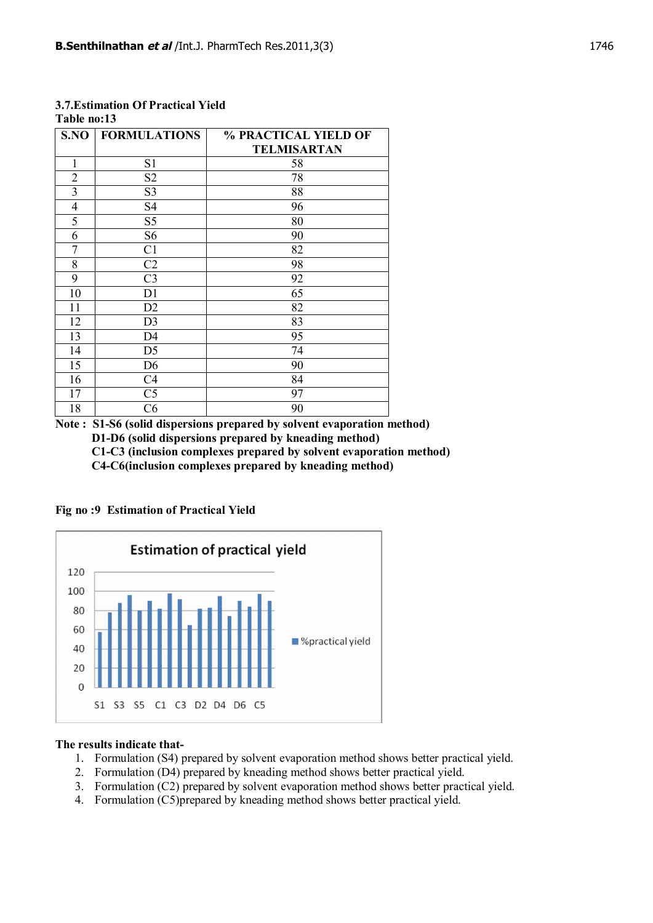| S.NO           | <b>FORMULATIONS</b> | % PRACTICAL YIELD OF |
|----------------|---------------------|----------------------|
|                |                     | <b>TELMISARTAN</b>   |
| 1              | S <sub>1</sub>      | 58                   |
| $\overline{2}$ | S <sub>2</sub>      | 78                   |
| $\overline{3}$ | S <sub>3</sub>      | 88                   |
| $\overline{4}$ | S <sub>4</sub>      | 96                   |
| 5              | S <sub>5</sub>      | 80                   |
| 6              | S <sub>6</sub>      | 90                   |
| 7              | C <sub>1</sub>      | 82                   |
| 8              | C2                  | 98                   |
| 9              | C <sub>3</sub>      | 92                   |
| 10             | D <sub>1</sub>      | 65                   |
| 11             | D <sub>2</sub>      | 82                   |
| 12             | D <sub>3</sub>      | 83                   |
| 13             | D4                  | 95                   |
| 14             | D <sub>5</sub>      | 74                   |
| 15             | D <sub>6</sub>      | 90                   |
| 16             | C <sub>4</sub>      | 84                   |
| 17             | C <sub>5</sub>      | 97                   |
| 18             | C6                  | 90                   |

#### **3.7.Estimation Of Practical Yield Table no:13**

**Note : S1-S6 (solid dispersions prepared by solvent evaporation method) D1-D6 (solid dispersions prepared by kneading method) C1-C3 (inclusion complexes prepared by solvent evaporation method) C4-C6(inclusion complexes prepared by kneading method)**

**Fig no :9 Estimation of Practical Yield**



#### **The results indicate that-**

- 1. Formulation (S4) prepared by solvent evaporation method shows better practical yield.
- 2. Formulation (D4) prepared by kneading method shows better practical yield.
- 3. Formulation (C2) prepared by solvent evaporation method shows better practical yield.
- 4. Formulation (C5)prepared by kneading method shows better practical yield.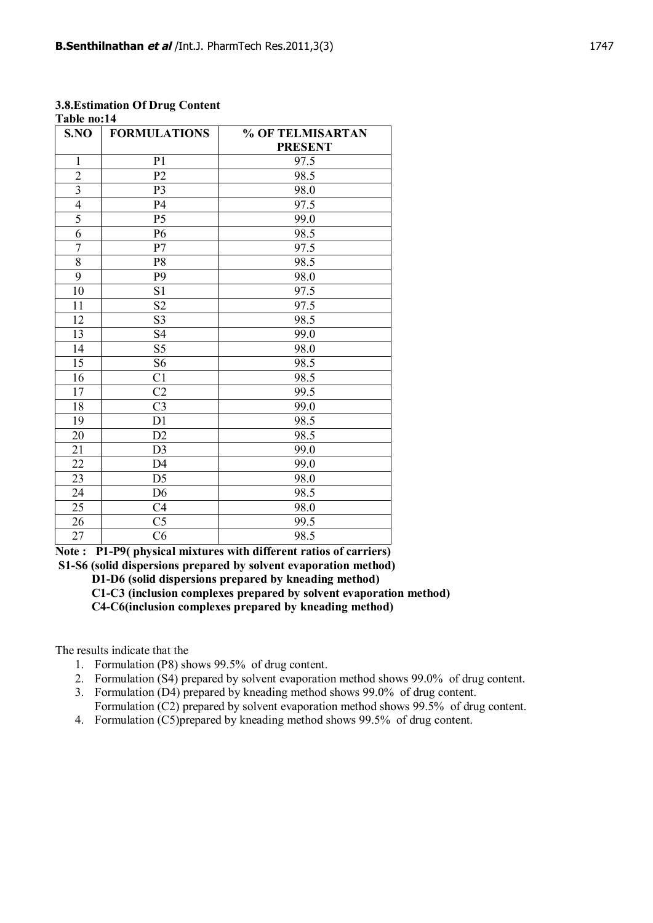| 1 apie no:14    |                        |                  |  |  |  |  |  |  |  |
|-----------------|------------------------|------------------|--|--|--|--|--|--|--|
| S.NO            | <b>FORMULATIONS</b>    | % OF TELMISARTAN |  |  |  |  |  |  |  |
|                 |                        | <b>PRESENT</b>   |  |  |  |  |  |  |  |
| $\mathbf{1}$    | P <sub>1</sub>         | 97.5             |  |  |  |  |  |  |  |
| $\overline{2}$  | P <sub>2</sub>         | 98.5             |  |  |  |  |  |  |  |
| $\overline{3}$  | P <sub>3</sub>         | 98.0             |  |  |  |  |  |  |  |
| $\overline{4}$  | P4                     | 97.5             |  |  |  |  |  |  |  |
| $\overline{5}$  | P <sub>5</sub>         | 99.0             |  |  |  |  |  |  |  |
| 6               | P <sub>6</sub>         | 98.5             |  |  |  |  |  |  |  |
| $\overline{7}$  | P7                     | 97.5             |  |  |  |  |  |  |  |
| 8               | P <sub>8</sub>         | 98.5             |  |  |  |  |  |  |  |
| 9               | P <sub>9</sub>         | 98.0             |  |  |  |  |  |  |  |
| 10              | S <sub>1</sub>         | 97.5             |  |  |  |  |  |  |  |
| 11              | S <sub>2</sub>         | 97.5             |  |  |  |  |  |  |  |
| 12              | S <sub>3</sub>         | 98.5             |  |  |  |  |  |  |  |
| 13              | S <sub>4</sub>         | 99.0             |  |  |  |  |  |  |  |
| 14              | S5                     | 98.0             |  |  |  |  |  |  |  |
| 15              | S <sub>6</sub>         | 98.5             |  |  |  |  |  |  |  |
| 16              | C <sub>1</sub>         | 98.5             |  |  |  |  |  |  |  |
| 17              | C <sub>2</sub>         | 99.5             |  |  |  |  |  |  |  |
| 18              | C <sub>3</sub>         | 99.0             |  |  |  |  |  |  |  |
| 19              | D1                     | 98.5             |  |  |  |  |  |  |  |
| 20              | D2                     | 98.5             |  |  |  |  |  |  |  |
| 21              | D <sub>3</sub>         | 99.0             |  |  |  |  |  |  |  |
| 22              | D <sub>4</sub>         | 99.0             |  |  |  |  |  |  |  |
| 23              | D <sub>5</sub>         | 98.0             |  |  |  |  |  |  |  |
| 24              | D <sub>6</sub>         | 98.5             |  |  |  |  |  |  |  |
| 25              | C <sub>4</sub>         | 98.0             |  |  |  |  |  |  |  |
| 26              | C <sub>5</sub>         | 99.5             |  |  |  |  |  |  |  |
| $\overline{27}$ | $\overline{\text{C6}}$ | 98.5             |  |  |  |  |  |  |  |

#### **3.8.Estimation Of Drug Content Table no:14**

**Note : P1-P9( physical mixtures with different ratios of carriers)**

 **S1-S6 (solid dispersions prepared by solvent evaporation method)**

 **D1-D6 (solid dispersions prepared by kneading method)**

 **C1-C3 (inclusion complexes prepared by solvent evaporation method)**

 **C4-C6(inclusion complexes prepared by kneading method)**

The results indicate that the

- 1. Formulation (P8) shows 99.5% of drug content.
- 2. Formulation (S4) prepared by solvent evaporation method shows 99.0% of drug content.
- 3. Formulation (D4) prepared by kneading method shows 99.0% of drug content. Formulation (C2) prepared by solvent evaporation method shows 99.5% of drug content.
- 4. Formulation (C5)prepared by kneading method shows 99.5% of drug content.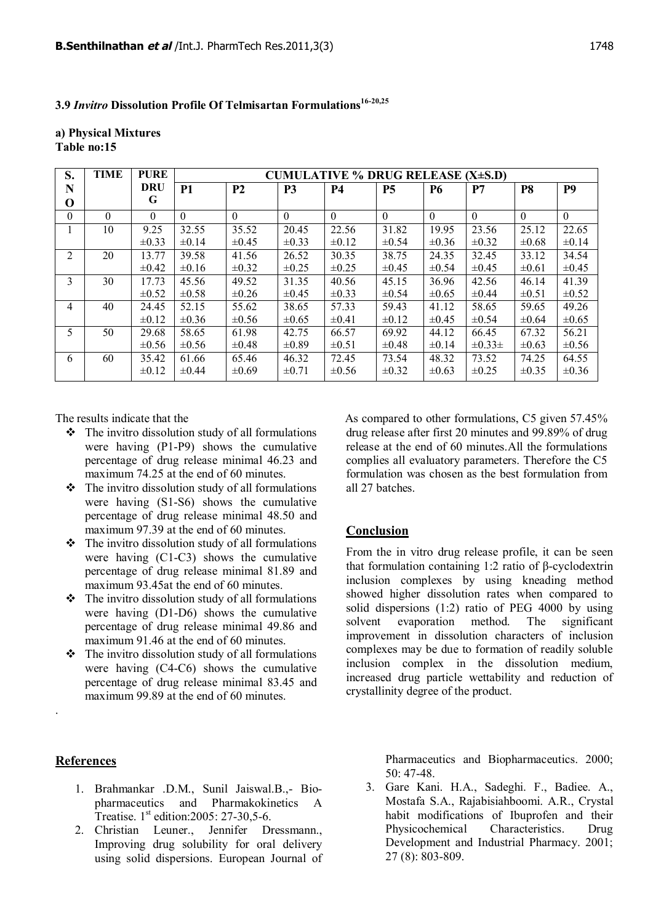**3.9** *Invitro* **Dissolution Profile Of Telmisartan Formulations16-20,25**

#### **a) Physical Mixtures Table no:15**

| S.       | <b>TIME</b> | <b>PURE</b> | CUMULATIVE $%$ DRUG RELEASE (X $\pm$ S.D) |                |            |            |            |            |               |                |                |
|----------|-------------|-------------|-------------------------------------------|----------------|------------|------------|------------|------------|---------------|----------------|----------------|
| N        |             | <b>DRU</b>  | <b>P1</b>                                 | P <sub>2</sub> | <b>P3</b>  | <b>P4</b>  | <b>P5</b>  | <b>P6</b>  | P7            | P <sub>8</sub> | P <sub>9</sub> |
| O        |             | G           |                                           |                |            |            |            |            |               |                |                |
| $\theta$ | $\theta$    | $\Omega$    | $\Omega$                                  | $\Omega$       | $\theta$   | $\theta$   | $\Omega$   | $\theta$   | $\Omega$      | $\theta$       | $\Omega$       |
|          | 10          | 9.25        | 32.55                                     | 35.52          | 20.45      | 22.56      | 31.82      | 19.95      | 23.56         | 25.12          | 22.65          |
|          |             | $\pm 0.33$  | $\pm 0.14$                                | $\pm 0.45$     | $\pm 0.33$ | $\pm 0.12$ | $\pm 0.54$ | $\pm 0.36$ | $\pm 0.32$    | $\pm 0.68$     | $\pm 0.14$     |
| 2        | 20          | 13.77       | 39.58                                     | 41.56          | 26.52      | 30.35      | 38.75      | 24.35      | 32.45         | 33.12          | 34.54          |
|          |             | $\pm 0.42$  | $\pm 0.16$                                | $\pm 0.32$     | $\pm 0.25$ | $\pm 0.25$ | $\pm 0.45$ | $\pm 0.54$ | $\pm 0.45$    | $\pm 0.61$     | $\pm 0.45$     |
| 3        | 30          | 17.73       | 45.56                                     | 49.52          | 31.35      | 40.56      | 45.15      | 36.96      | 42.56         | 46.14          | 41.39          |
|          |             | $\pm 0.52$  | $\pm 0.58$                                | $\pm 0.26$     | $\pm 0.45$ | $\pm 0.33$ | $\pm 0.54$ | $\pm 0.65$ | $\pm 0.44$    | $\pm 0.51$     | $\pm 0.52$     |
| 4        | 40          | 24.45       | 52.15                                     | 55.62          | 38.65      | 57.33      | 59.43      | 41.12      | 58.65         | 59.65          | 49.26          |
|          |             | $\pm 0.12$  | $\pm 0.36$                                | $\pm 0.56$     | $\pm 0.65$ | $\pm 0.41$ | $\pm 0.12$ | $\pm 0.45$ | $\pm 0.54$    | $\pm 0.64$     | $\pm 0.65$     |
| 5        | 50          | 29.68       | 58.65                                     | 61.98          | 42.75      | 66.57      | 69.92      | 44.12      | 66.45         | 67.32          | 56.21          |
|          |             | $\pm 0.56$  | $\pm 0.56$                                | $\pm 0.48$     | $\pm 0.89$ | $\pm 0.51$ | $\pm 0.48$ | $\pm 0.14$ | $\pm 0.33\pm$ | $\pm 0.63$     | $\pm 0.56$     |
| 6        | 60          | 35.42       | 61.66                                     | 65.46          | 46.32      | 72.45      | 73.54      | 48.32      | 73.52         | 74.25          | 64.55          |
|          |             | $\pm 0.12$  | $\pm 0.44$                                | $\pm 0.69$     | $\pm 0.71$ | $\pm 0.56$ | $\pm 0.32$ | $\pm 0.63$ | $\pm 0.25$    | $\pm 0.35$     | $\pm 0.36$     |

The results indicate that the

- $\triangle$  The invitro dissolution study of all formulations were having (P1-P9) shows the cumulative percentage of drug release minimal 46.23 and maximum 74.25 at the end of 60 minutes.
- $\div$  The invitro dissolution study of all formulations were having (S1-S6) shows the cumulative percentage of drug release minimal 48.50 and maximum 97.39 at the end of 60 minutes.
- $\triangle$  The invitro dissolution study of all formulations were having (C1-C3) shows the cumulative percentage of drug release minimal 81.89 and maximum 93.45at the end of 60 minutes.
- $\div$  The invitro dissolution study of all formulations were having (D1-D6) shows the cumulative percentage of drug release minimal 49.86 and maximum 91.46 at the end of 60 minutes.
- $\triangle$  The invitro dissolution study of all formulations were having (C4-C6) shows the cumulative percentage of drug release minimal 83.45 and maximum 99.89 at the end of 60 minutes.

 As compared to other formulations, C5 given 57.45% drug release after first 20 minutes and 99.89% of drug release at the end of 60 minutes.All the formulations complies all evaluatory parameters. Therefore the C5 formulation was chosen as the best formulation from all 27 batches.

#### **Conclusion**

From the in vitro drug release profile, it can be seen that formulation containing 1:2 ratio of β-cyclodextrin inclusion complexes by using kneading method showed higher dissolution rates when compared to solid dispersions (1:2) ratio of PEG 4000 by using solvent evaporation method. The significant improvement in dissolution characters of inclusion complexes may be due to formation of readily soluble inclusion complex in the dissolution medium, increased drug particle wettability and reduction of crystallinity degree of the product.

# **References**

.

- 1. Brahmankar .D.M., Sunil Jaiswal.B.,- Biopharmaceutics and Pharmakokinetics A Treatise. 1<sup>st</sup> edition:2005: 27-30.5-6.
- 2. Christian Leuner., Jennifer Dressmann., Improving drug solubility for oral delivery using solid dispersions. European Journal of

Pharmaceutics and Biopharmaceutics. 2000; 50: 47-48.

3. Gare Kani. H.A., Sadeghi. F., Badiee. A., Mostafa S.A., Rajabisiahboomi. A.R., Crystal habit modifications of Ibuprofen and their Physicochemical Characteristics. Drug Development and Industrial Pharmacy. 2001; 27 (8): 803-809.